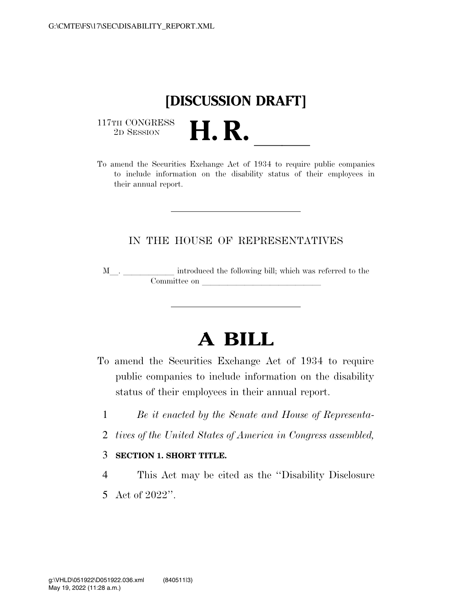

 $\begin{array}{c} \text{117TH CONGRESS} \\ \text{2D Session} \end{array}$ 

117TH CONGRESS<br>
2D SESSION<br>
To amend the Securities Exchange Act of 1934 to require public companies to include information on the disability status of their employees in their annual report.

## IN THE HOUSE OF REPRESENTATIVES

M<sub>\_\_\_</sub>. \_\_\_\_\_\_\_\_\_\_\_\_\_ introduced the following bill; which was referred to the  $\mathop{\mathrm{Committee}}$  on  $\qquad \qquad \overbrace{\phantom{ \mathcal{H}}$ 

## **A BILL**

- To amend the Securities Exchange Act of 1934 to require public companies to include information on the disability status of their employees in their annual report.
	- 1 *Be it enacted by the Senate and House of Representa-*
	- 2 *tives of the United States of America in Congress assembled,*
	- 3 **SECTION 1. SHORT TITLE.**
	- 4 This Act may be cited as the ''Disability Disclosure 5 Act of 2022''.